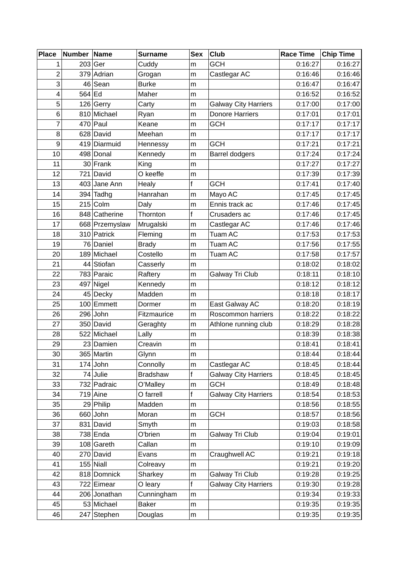| <b>Place</b>   | Number Name |                            | <b>Surname</b>        | <b>Sex</b> | Club                        | <b>Race Time</b>   | <b>Chip Time</b>   |
|----------------|-------------|----------------------------|-----------------------|------------|-----------------------------|--------------------|--------------------|
| 1              |             | $203$ Ger                  | Cuddy                 | m          | <b>GCH</b>                  | 0:16:27            | 0:16:27            |
| $\overline{2}$ |             | 379 Adrian                 | Grogan                | m          | Castlegar AC                | 0:16:46            | 0:16:46            |
| 3              |             | $46$ Sean                  | <b>Burke</b>          | m          |                             | 0:16:47            | 0:16:47            |
| 4              | 564 Ed      |                            | Maher                 | m          |                             | 0:16:52            | 0:16:52            |
| 5              |             | $126$ Gerry                | Carty                 | m          | <b>Galway City Harriers</b> | 0:17:00            | 0:17:00            |
| 6              |             | 810 Michael                | Ryan                  | m          | <b>Donore Harriers</b>      | 0:17:01            | 0:17:01            |
| 7              |             | $470$ Paul                 | Keane                 | m          | <b>GCH</b>                  | 0:17:17            | 0:17:17            |
| 8              |             | 628 David                  | Meehan                | m          |                             | 0:17:17            | 0:17:17            |
| 9              |             | 419 Diarmuid               | Hennessy              | m          | <b>GCH</b>                  | 0:17:21            | 0:17:21            |
| 10             |             | 498 Donal                  | Kennedy               | m          | <b>Barrel dodgers</b>       | 0:17:24            | 0:17:24            |
| 11             |             | $30$ Frank                 | King                  | m          |                             | 0:17:27            | 0:17:27            |
| 12             |             | 721 David                  | O keeffe              | m          |                             | 0:17:39            | 0:17:39            |
| 13             |             | 403 Jane Ann               | Healy                 | f          | <b>GCH</b>                  | 0:17:41            | 0:17:40            |
| 14             |             | $394$ Tadhg                | Hanrahan              | m          | Mayo AC                     | 0:17:45            | 0:17:45            |
| 15             |             | $215$ Colm                 | Daly                  | m          | Ennis track ac              | 0:17:46            | 0:17:45            |
| 16             |             | 848 Catherine              | Thornton              | f          | Crusaders ac                | 0:17:46            | 0:17:45            |
| 17             |             | 668 Przemyslaw             | Mrugalski             | m          | Castlegar AC                | 0:17:46            | 0:17:46            |
| 18             |             | 310 Patrick                | Fleming               | m          | Tuam AC                     | 0:17:53            | 0:17:53            |
| 19             |             | 76 Daniel                  | <b>Brady</b>          | m          | <b>Tuam AC</b>              | 0:17:56            | 0:17:55            |
| 20             |             | 189 Michael                | Costello              | m          | Tuam AC                     | 0:17:58            | 0:17:57            |
| 21             |             | 44 Stiofan                 | Casserly              | m          |                             | 0:18:02            | 0:18:02            |
| 22             |             | 783 Paraic                 | Raftery               | m          | Galway Tri Club             | 0:18:11            | 0:18:10            |
| 23             |             | $497$ Nigel                | Kennedy               | m          |                             | 0:18:12            | 0:18:12            |
| 24             |             | 45 Decky                   | Madden                | m          |                             | 0:18:18            | 0:18:17            |
| 25             |             | 100 Emmett                 | Dormer                | m          | East Galway AC              | 0:18:20            | 0:18:19            |
| 26             |             | $296$ John                 | Fitzmaurice           | m          | Roscommon harriers          | 0:18:22            | 0:18:22            |
| 27             |             | 350 David                  | Geraghty              | m          | Athlone running club        | 0:18:29            | 0:18:28            |
| 28             |             | 522 Michael                | Lally                 | m          |                             | 0:18:39            | 0:18:38            |
| 29             |             | 23 Damien                  | Creavin               | m          |                             | 0:18:41            | 0:18:41            |
| 30             |             | 365 Martin                 | Glynn                 | m          |                             | 0:18:44            | 0:18:44            |
| 31             |             | $174$ John                 | Connolly              | m          | Castlegar AC                | 0:18:45            | 0:18:44            |
| 32             |             | $74$ Julie                 | <b>Bradshaw</b>       | f          | <b>Galway City Harriers</b> | 0:18:45            | 0:18:45            |
| 33             |             | 732 Padraic                | O'Malley              | m          | <b>GCH</b>                  | 0:18:49            | 0:18:48            |
| 34             |             | $719$ Aine                 | O farrell             | f          | <b>Galway City Harriers</b> | 0:18:54            | 0:18:53            |
| 35             |             | $29$ Philip                | Madden                | m          |                             | 0:18:56            | 0:18:55            |
| 36             |             | $660$ John                 | Moran                 | m          | <b>GCH</b>                  | 0:18:57            | 0:18:56            |
| 37             |             | 831 David                  | Smyth                 | m          |                             | 0:19:03            | 0:18:58            |
| 38             |             | $738$ Enda                 | O'brien               | m          | Galway Tri Club             | 0:19:04            | 0:19:01            |
| 39             |             | $108$ Gareth               | Callan                | m          |                             | 0:19:10            | 0:19:09            |
| 40             |             | 270 David                  | Evans                 | m          | Craughwell AC               | 0:19:21            | 0:19:18            |
| 41             |             | $155$ Niall                | Colreavy              | m          |                             | 0:19:21            | 0:19:20            |
| 42             |             | 818 Domnick                | Sharkey               | m<br>f     | Galway Tri Club             | 0:19:28            | 0:19:25            |
| 43<br>44       |             | 722 Eimear<br>206 Jonathan | O leary<br>Cunningham |            | <b>Galway City Harriers</b> | 0:19:30<br>0:19:34 | 0:19:28<br>0:19:33 |
|                |             | 53 Michael                 | <b>Baker</b>          | m          |                             | 0:19:35            |                    |
| 45             |             |                            |                       | m          |                             |                    | 0:19:35            |
| 46             |             | 247 Stephen                | Douglas               | m          |                             | 0:19:35            | 0:19:35            |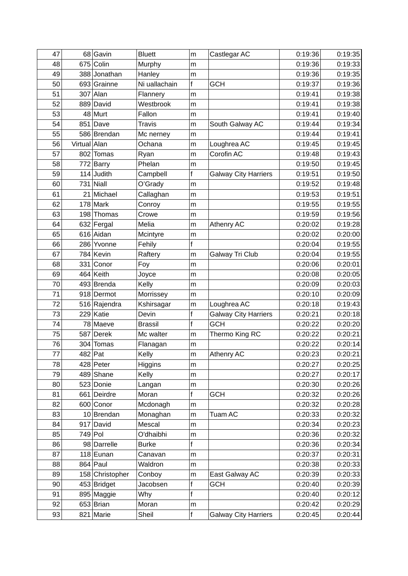| 47      |              | 68 Gavin        | <b>Bluett</b>  | m            | Castlegar AC                | 0:19:36 | 0:19:35 |
|---------|--------------|-----------------|----------------|--------------|-----------------------------|---------|---------|
| 48      |              | 675 Colin       | Murphy         | m            |                             | 0:19:36 | 0:19:33 |
| 49      |              | 388 Jonathan    | Hanley         | m            |                             | 0:19:36 | 0:19:35 |
| 50      |              | 693 Grainne     | Ni uallachain  | $\mathsf f$  | <b>GCH</b>                  | 0:19:37 | 0:19:36 |
| 51      |              | $307$ Alan      | Flannery       | m            |                             | 0:19:41 | 0:19:38 |
| 52      |              | 889 David       | Westbrook      | m            |                             | 0:19:41 | 0:19:38 |
| 53      |              | 48 Murt         | Fallon         | m            |                             | 0:19:41 | 0:19:40 |
| 54      |              | $851$ Dave      | <b>Travis</b>  | m            | South Galway AC             | 0:19:44 | 0:19:34 |
| 55      |              | 586 Brendan     | Mc nerney      | m            |                             | 0:19:44 | 0:19:41 |
| 56      | Virtual Alan |                 | Ochana         | m            | Loughrea AC                 | 0:19:45 | 0:19:45 |
| 57      |              | 802 Tomas       | Ryan           | m            | Corofin AC                  | 0:19:48 | 0:19:43 |
| 58      |              | 772 Barry       | Phelan         | m            |                             | 0:19:50 | 0:19:45 |
| 59      | 114          | <b>Judith</b>   | Campbell       | $\mathsf f$  | <b>Galway City Harriers</b> | 0:19:51 | 0:19:50 |
| 60      |              | $731$ Niall     | O'Grady        | m            |                             | 0:19:52 | 0:19:48 |
| 61      |              | 21 Michael      | Callaghan      | m            |                             | 0:19:53 | 0:19:51 |
| 62      |              | $178$ Mark      | Conroy         | m            |                             | 0:19:55 | 0:19:55 |
| 63      |              | 198 Thomas      | Crowe          | m            |                             | 0:19:59 | 0:19:56 |
| 64      |              | 632 Fergal      | Melia          | m            | Athenry AC                  | 0:20:02 | 0:19:28 |
| 65      |              | 616 Aidan       | Mcintyre       | m            |                             | 0:20:02 | 0:20:00 |
| 66      |              | 286 Yvonne      | Fehily         | f            |                             | 0:20:04 | 0:19:55 |
| 67      |              | 784 Kevin       | Raftery        | m            | Galway Tri Club             | 0:20:04 | 0:19:55 |
| 68      |              | 331 Conor       | Foy            | m            |                             | 0:20:06 | 0:20:01 |
| 69      |              | $464$ Keith     | Joyce          | m            |                             | 0:20:08 | 0:20:05 |
| 70      |              | 493 Brenda      | Kelly          | m            |                             | 0:20:09 | 0:20:03 |
| 71      |              | 918 Dermot      | Morrissey      | m            |                             | 0:20:10 | 0:20:09 |
| 72      |              | 516 Rajendra    | Kshirsagar     | m            | Loughrea AC                 | 0:20:18 | 0:19:43 |
| 73      |              | 229 Katie       | Devin          | $\mathsf{f}$ | <b>Galway City Harriers</b> | 0:20:21 | 0:20:18 |
| 74      |              | 78 Maeve        | <b>Brassil</b> | $\mathsf{f}$ | <b>GCH</b>                  | 0:20:22 | 0:20:20 |
| 75      |              | 587 Derek       | Mc walter      | m            | Thermo King RC              | 0:20:22 | 0:20:21 |
| 76      |              | 304 Tomas       | Flanagan       | m            |                             | 0:20:22 | 0:20:14 |
| $77 \,$ |              | 482 Pat         | Kelly          | m            | <b>Athenry AC</b>           | 0:20:23 | 0:20:21 |
| 78      |              | 428 Peter       | Higgins        | m            |                             | 0:20:27 | 0:20:25 |
| 79      |              | 489 Shane       | Kelly          | m            |                             | 0:20:27 | 0:20:17 |
| 80      |              | 523 Donie       | Langan         | m            |                             | 0:20:30 | 0:20:26 |
| 81      |              | 661 Deirdre     | Moran          | f            | <b>GCH</b>                  | 0:20:32 | 0:20:26 |
| 82      |              | 600 Conor       | Mcdonagh       | m            |                             | 0:20:32 | 0:20:28 |
| 83      |              | 10 Brendan      | Monaghan       | m            | Tuam AC                     | 0:20:33 | 0:20:32 |
| 84      |              | 917 David       | Mescal         | m            |                             | 0:20:34 | 0:20:23 |
| 85      |              | 749 Pol         | O'dhaibhi      | m            |                             | 0:20:36 | 0:20:32 |
| 86      |              | 98 Darrelle     | <b>Burke</b>   | $\mathsf f$  |                             | 0:20:36 | 0:20:34 |
| 87      |              | $118$ Eunan     | Canavan        | m            |                             | 0:20:37 | 0:20:31 |
| 88      |              | $864$ Paul      | Waldron        | m            |                             | 0:20:38 | 0:20:33 |
| 89      |              | 158 Christopher | Conboy         | m            | East Galway AC              | 0:20:39 | 0:20:33 |
| 90      |              | 453 Bridget     | Jacobsen       | f            | <b>GCH</b>                  | 0:20:40 | 0:20:39 |
| 91      |              | 895 Maggie      | Why            | f            |                             | 0:20:40 | 0:20:12 |
| 92      |              | $653$ Brian     | Moran          | m            |                             | 0:20:42 | 0:20:29 |
| 93      |              | 821 Marie       | Sheil          | f            | <b>Galway City Harriers</b> | 0:20:45 | 0:20:44 |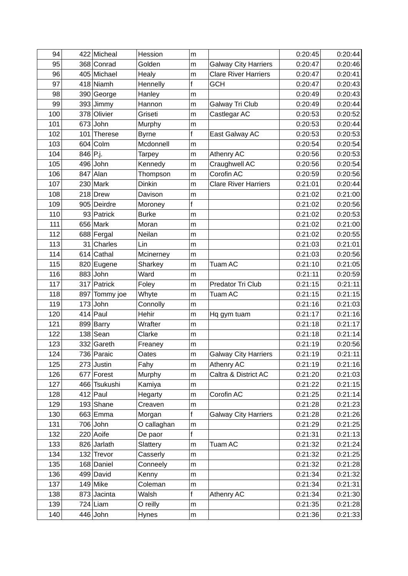| 94         |          | 422 Micheal               | Hession              | m                 |                             | 0:20:45            | 0:20:44            |
|------------|----------|---------------------------|----------------------|-------------------|-----------------------------|--------------------|--------------------|
| 95         |          | 368 Conrad                | Golden               | m                 | <b>Galway City Harriers</b> | 0:20:47            | 0:20:46            |
| 96         |          | 405 Michael               | Healy                | m                 | <b>Clare River Harriers</b> | 0:20:47            | 0:20:41            |
| 97         |          | 418 Niamh                 | Hennelly             | f                 | <b>GCH</b>                  | 0:20:47            | 0:20:43            |
| 98         |          | 390 George                | Hanley               | m                 |                             | 0:20:49            | 0:20:43            |
| 99         |          | 393 Jimmy                 | Hannon               | m                 | Galway Tri Club             | 0:20:49            | 0:20:44            |
| 100        |          | 378 Olivier               | Griseti              | m                 | Castlegar AC                | 0:20:53            | 0:20:52            |
| 101        |          | $673$ John                | Murphy               | m                 |                             | 0:20:53            | 0:20:44            |
| 102        |          | 101 Therese               | <b>Byrne</b>         | $\mathsf{f}$      | East Galway AC              | 0:20:53            | 0:20:53            |
| 103        |          | $604$ Colm                | Mcdonnell            | m                 |                             | 0:20:54            | 0:20:54            |
| 104        | 846 P.j. |                           | <b>Tarpey</b>        | m                 | Athenry AC                  | 0:20:56            | 0:20:53            |
| 105        |          | 496 John                  | Kennedy              | m                 | Craughwell AC               | 0:20:56            | 0:20:54            |
| 106        |          | $847$ Alan                | Thompson             | m                 | Corofin AC                  | 0:20:59            | 0:20:56            |
| 107        |          | $230$ Mark                | <b>Dinkin</b>        | m                 | <b>Clare River Harriers</b> | 0:21:01            | 0:20:44            |
| 108        |          | 218 Drew                  | Davison              | m                 |                             | 0:21:02            | 0:21:00            |
| 109        |          | 905 Deirdre               | Moroney              | $\mathsf f$       |                             | 0:21:02            | 0:20:56            |
| 110        |          | 93 Patrick                | <b>Burke</b>         | m                 |                             | 0:21:02            | 0:20:53            |
| 111        |          | $656$ Mark                | Moran                | m                 |                             | 0:21:02            | 0:21:00            |
| 112        |          | 688 Fergal                | Neilan               | m                 |                             | 0:21:02            | 0:20:55            |
| 113        |          | $31$ Charles              | Lin                  | m                 |                             | 0:21:03            | 0:21:01            |
| 114        |          | 614 Cathal                | Mcinerney            | m                 |                             | 0:21:03            | 0:20:56            |
| 115        |          | 820 Eugene                | Sharkey              | m                 | Tuam AC                     | 0:21:10            | 0:21:05            |
| 116        |          | $883$ John                | Ward                 | m                 |                             | 0:21:11            | 0:20:59            |
| 117        |          | 317 Patrick               | Foley                | m                 | Predator Tri Club           | 0:21:15            | 0:21:11            |
| 118        | 897      | Tommy joe                 | Whyte                | m                 | Tuam AC                     | 0:21:15            | 0:21:15            |
| 119        |          | $173$ John                | Connolly             | m                 |                             | 0:21:16            | 0:21:03            |
| 120        |          | $414$ Paul                | Hehir                | m                 | Hq gym tuam                 | 0:21:17            | 0:21:16            |
| 121        |          | 899 Barry                 | Wrafter              | m                 |                             | 0:21:18            | 0:21:17            |
| 122        |          | $138$ Sean                | Clarke               | m                 |                             | 0:21:18            | 0:21:14            |
| 123        |          | 332 Gareth                | Freaney              | m                 |                             | 0:21:19            | 0:20:56            |
| 124        |          | 736 Paraic                | Oates                | m                 | <b>Galway City Harriers</b> | 0:21:19            | 0:21:11            |
| 125        |          | $273$ Justin              | Fahy                 | m                 | Athenry AC                  | 0:21:19            | 0:21:16            |
| 126        |          | 677 Forest                | Murphy               | m                 | Caltra & District AC        | 0:21:20            | 0:21:03            |
| 127        |          | 466 Tsukushi              | Kamiya               | m                 |                             | 0:21:22            | 0:21:15            |
| 128        |          | $412$ Paul                | Hegarty              | m                 | Corofin AC                  | 0:21:25            | 0:21:14            |
| 129        |          | $193$ Shane               | Creaven              | m                 |                             | 0:21:28            | 0:21:23            |
| 130        |          | 663 Emma                  | Morgan               | $\mathsf f$       | <b>Galway City Harriers</b> | 0:21:28            | 0:21:26            |
| 131        |          | $706$ John                | O callaghan          | m<br>$\mathsf{f}$ |                             | 0:21:29            | 0:21:25            |
| 132        |          | 220 Aoife                 | De paor              |                   |                             | 0:21:31            | 0:21:13            |
| 133<br>134 |          | 826 Jarlath<br>132 Trevor | Slattery             | m                 | Tuam AC                     | 0:21:32<br>0:21:32 | 0:21:24            |
| 135        |          | 168 Daniel                | Casserly<br>Conneely | m                 |                             | 0:21:32            | 0:21:25<br>0:21:28 |
| 136        |          | 499 David                 | Kenny                | m<br>m            |                             | 0:21:34            | 0:21:32            |
| 137        |          | $149$ Mike                | Coleman              |                   |                             | 0:21:34            | 0:21:31            |
| 138        |          | 873 Jacinta               | Walsh                | m<br>f            | Athenry AC                  | 0:21:34            | 0:21:30            |
| 139        |          | $724$ Liam                | O reilly             | m                 |                             | 0:21:35            | 0:21:28            |
| 140        |          | $446$ John                | Hynes                |                   |                             | 0:21:36            | 0:21:33            |
|            |          |                           |                      | m                 |                             |                    |                    |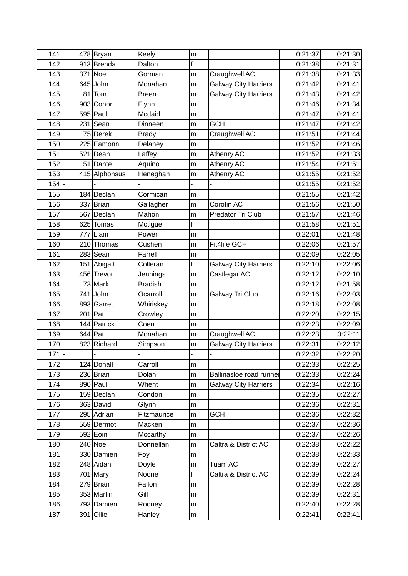| 141     |           | 478 Bryan     | Keely          | m |                             | 0:21:37 | 0:21:30 |
|---------|-----------|---------------|----------------|---|-----------------------------|---------|---------|
| 142     |           | 913 Brenda    | Dalton         | f |                             | 0:21:38 | 0:21:31 |
| 143     |           | $371$ Noel    | Gorman         | m | Craughwell AC               | 0:21:38 | 0:21:33 |
| 144     |           | $645$ John    | Monahan        | m | <b>Galway City Harriers</b> | 0:21:42 | 0:21:41 |
| 145     | 81        | Tom           | <b>Breen</b>   | m | <b>Galway City Harriers</b> | 0:21:43 | 0:21:42 |
| 146     | 903       | Conor         | Flynn          | m |                             | 0:21:46 | 0:21:34 |
| 147     |           | $595$ Paul    | Mcdaid         | m |                             | 0:21:47 | 0:21:41 |
| 148     |           | $231$ Sean    | Dinneen        | m | <b>GCH</b>                  | 0:21:47 | 0:21:42 |
| 149     |           | 75 Derek      | <b>Brady</b>   | m | Craughwell AC               | 0:21:51 | 0:21:44 |
| 150     |           | 225 Eamonn    | Delaney        | m |                             | 0:21:52 | 0:21:46 |
| 151     | 521       | Dean          | Laffey         | m | Athenry AC                  | 0:21:52 | 0:21:33 |
| 152     |           | $51$ Dante    | Aquino         | m | Athenry AC                  | 0:21:54 | 0:21:51 |
| 153     |           | 415 Alphonsus | Heneghan       | m | Athenry AC                  | 0:21:55 | 0:21:52 |
| 154     |           |               |                |   |                             | 0:21:55 | 0:21:52 |
| 155     |           | 184 Declan    | Cormican       | m |                             | 0:21:55 | 0:21:42 |
| 156     |           | $337$ Brian   | Gallagher      | m | Corofin AC                  | 0:21:56 | 0:21:50 |
| 157     |           | 567 Declan    | Mahon          | m | Predator Tri Club           | 0:21:57 | 0:21:46 |
| 158     | 625       | <b>Tomas</b>  | Mctigue        | f |                             | 0:21:58 | 0:21:51 |
| 159     | 777       | Liam          | Power          | m |                             | 0:22:01 | 0:21:48 |
| 160     | 210       | Thomas        | Cushen         | m | Fit4life GCH                | 0:22:06 | 0:21:57 |
| 161     |           | $283$ Sean    | Farrell        | m |                             | 0:22:09 | 0:22:05 |
| 162     |           | 151 Abigail   | Colleran       | f | <b>Galway City Harriers</b> | 0:22:10 | 0:22:06 |
| 163     |           | 456 Trevor    | Jennings       | m | Castlegar AC                | 0:22:12 | 0:22:10 |
| 164     |           | $73$ Mark     | <b>Bradish</b> | m |                             | 0:22:12 | 0:21:58 |
| 165     |           | $741$ John    | Ocarroll       | m | Galway Tri Club             | 0:22:16 | 0:22:03 |
| 166     |           | 893 Garret    | Whiriskey      | m |                             | 0:22:18 | 0:22:08 |
| 167     | $201$ Pat |               | Crowley        | m |                             | 0:22:20 | 0:22:15 |
| 168     |           | 144 Patrick   | Coen           | m |                             | 0:22:23 | 0:22:09 |
| 169     |           | $644$ Pat     | Monahan        | m | Craughwell AC               | 0:22:23 | 0:22:11 |
| 170     |           | 823 Richard   | Simpson        | m | <b>Galway City Harriers</b> | 0:22:31 | 0:22:12 |
| $171$ - |           |               |                |   |                             | 0:22:32 | 0:22:20 |
| 172     |           | 124 Donall    | Carroll        | m |                             | 0:22:33 | 0:22:25 |
| 173     |           | $236$ Brian   | Dolan          | m | Ballinasloe road runnel     | 0:22:33 | 0:22:24 |
| 174     |           | $890$ Paul    | Whent          | m | <b>Galway City Harriers</b> | 0:22:34 | 0:22:16 |
| 175     |           | 159 Declan    | Condon         | m |                             | 0:22:35 | 0:22:27 |
| 176     |           | $363$ David   | Glynn          | m |                             | 0:22:36 | 0:22:31 |
| 177     |           | 295 Adrian    | Fitzmaurice    | m | <b>GCH</b>                  | 0:22:36 | 0:22:32 |
| 178     |           | 559 Dermot    | Macken         | m |                             | 0:22:37 | 0:22:36 |
| 179     |           | $592$ Eoin    | Mccarthy       | m |                             | 0:22:37 | 0:22:26 |
| 180     |           | $240$ Noel    | Donnellan      | m | Caltra & District AC        | 0:22:38 | 0:22:22 |
| 181     |           | 330 Damien    | Foy            | m |                             | 0:22:38 | 0:22:33 |
| 182     |           | 248 Aidan     | Doyle          | m | Tuam AC                     | 0:22:39 | 0:22:27 |
| 183     |           | $701$ Mary    | Noone          | f | Caltra & District AC        | 0:22:39 | 0:22:24 |
| 184     |           | $279$ Brian   | Fallon         | m |                             | 0:22:39 | 0:22:28 |
| 185     |           | 353 Martin    | Gill           | m |                             | 0:22:39 | 0:22:31 |
| 186     |           | 793 Damien    | Rooney         | m |                             | 0:22:40 | 0:22:28 |
| 187     |           | 391 Ollie     | Hanley         | m |                             | 0:22:41 | 0:22:41 |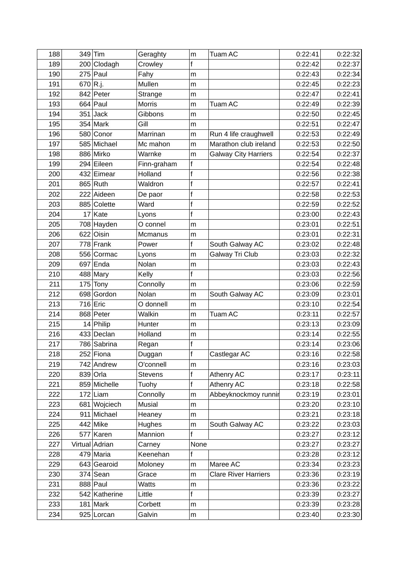| 188 |             | 349 Tim        | Geraghty      | m            | <b>Tuam AC</b>              | 0:22:41 | 0:22:32 |
|-----|-------------|----------------|---------------|--------------|-----------------------------|---------|---------|
| 189 |             | 200 Clodagh    | Crowley       | f            |                             | 0:22:42 | 0:22:37 |
| 190 |             | $275$ Paul     | Fahy          | m            |                             | 0:22:43 | 0:22:34 |
| 191 | $670 R$ .j. |                | Mullen        | m            |                             | 0:22:45 | 0:22:23 |
| 192 |             | 842 Peter      | Strange       | m            |                             | 0:22:47 | 0:22:41 |
| 193 |             | $664$ Paul     | <b>Morris</b> | m            | Tuam AC                     | 0:22:49 | 0:22:39 |
| 194 |             | $351$ Jack     | Gibbons       | m            |                             | 0:22:50 | 0:22:45 |
| 195 |             | $354$ Mark     | Gill          | m            |                             | 0:22:51 | 0:22:47 |
| 196 |             | 580 Conor      | Marrinan      | m            | Run 4 life craughwell       | 0:22:53 | 0:22:49 |
| 197 |             | 585 Michael    | Mc mahon      | m            | Marathon club ireland       | 0:22:53 | 0:22:50 |
| 198 |             | 886 Mirko      | Warnke        | m            | <b>Galway City Harriers</b> | 0:22:54 | 0:22:37 |
| 199 |             | 294 Eileen     | Finn-graham   | $\mathsf{f}$ |                             | 0:22:54 | 0:22:48 |
| 200 |             | 432 Eimear     | Holland       | f            |                             | 0:22:56 | 0:22:38 |
| 201 |             | $865$ Ruth     | Waldron       | $\mathsf{f}$ |                             | 0:22:57 | 0:22:41 |
| 202 |             | 222 Aideen     | De paor       | f            |                             | 0:22:58 | 0:22:53 |
| 203 |             | 885 Colette    | Ward          | $\mathsf{f}$ |                             | 0:22:59 | 0:22:52 |
| 204 |             | $17$ Kate      | Lyons         | $\mathsf{f}$ |                             | 0:23:00 | 0:22:43 |
| 205 |             | 708 Hayden     | O connel      | m            |                             | 0:23:01 | 0:22:51 |
| 206 |             | 622 Oisin      | Mcmanus       | m            |                             | 0:23:01 | 0:22:31 |
| 207 |             | $778$ Frank    | Power         | $\mathsf f$  | South Galway AC             | 0:23:02 | 0:22:48 |
| 208 |             | 556 Cormac     | Lyons         | m            | Galway Tri Club             | 0:23:03 | 0:22:32 |
| 209 |             | $697$ Enda     | Nolan         | m            |                             | 0:23:03 | 0:22:43 |
| 210 |             | $488$ Mary     | Kelly         | $\mathsf{f}$ |                             | 0:23:03 | 0:22:56 |
| 211 |             | $175$ Tony     | Connolly      | m            |                             | 0:23:06 | 0:22:59 |
| 212 |             | 698 Gordon     | Nolan         | m            | South Galway AC             | 0:23:09 | 0:23:01 |
| 213 |             | $716$ Eric     | O donnell     | m            |                             | 0:23:10 | 0:22:54 |
| 214 |             | 868 Peter      | Walkin        | m            | Tuam AC                     | 0:23:11 | 0:22:57 |
| 215 |             | $14$ Philip    | Hunter        | m            |                             | 0:23:13 | 0:23:09 |
| 216 |             | 433 Declan     | Holland       | m            |                             | 0:23:14 | 0:22:55 |
| 217 |             | 786 Sabrina    | Regan         | $\mathsf{f}$ |                             | 0:23:14 | 0:23:06 |
| 218 |             | 252 Fiona      | Duggan        | $\mathsf{f}$ | Castlegar AC                | 0:23:16 | 0:22:58 |
| 219 |             | 742 Andrew     | O'connell     | m            |                             | 0:23:16 | 0:23:03 |
| 220 |             | $839$ Orla     | Stevens       | f            | Athenry AC                  | 0:23:17 | 0:23:11 |
| 221 |             | 859 Michelle   | Tuohy         | f            | Athenry AC                  | 0:23:18 | 0:22:58 |
| 222 |             | $172$ Liam     | Connolly      | m            | Abbeyknockmoy runnir        | 0:23:19 | 0:23:01 |
| 223 |             | 681 Wojciech   | <b>Musial</b> | m            |                             | 0:23:20 | 0:23:10 |
| 224 |             | 911 Michael    | Heaney        | m            |                             | 0:23:21 | 0:23:18 |
| 225 |             | 442 Mike       | Hughes        | m            | South Galway AC             | 0:23:22 | 0:23:03 |
| 226 |             | 577 Karen      | Mannion       | f            |                             | 0:23:27 | 0:23:12 |
| 227 |             | Virtual Adrian | Carney        | None         |                             | 0:23:27 | 0:23:27 |
| 228 |             | $479$ Maria    | Keenehan      | f            |                             | 0:23:28 | 0:23:12 |
| 229 |             | 643 Gearoid    | Moloney       | m            | Maree AC                    | 0:23:34 | 0:23:23 |
| 230 |             | $374$ Sean     | Grace         | m            | <b>Clare River Harriers</b> | 0:23:36 | 0:23:19 |
| 231 |             | 888 Paul       | <b>Watts</b>  | m            |                             | 0:23:36 | 0:23:22 |
| 232 |             | 542 Katherine  | Little        | f            |                             | 0:23:39 | 0:23:27 |
| 233 |             | $181$ Mark     | Corbett       | m            |                             | 0:23:39 | 0:23:28 |
| 234 |             | 925 Lorcan     | Galvin        | m            |                             | 0:23:40 | 0:23:30 |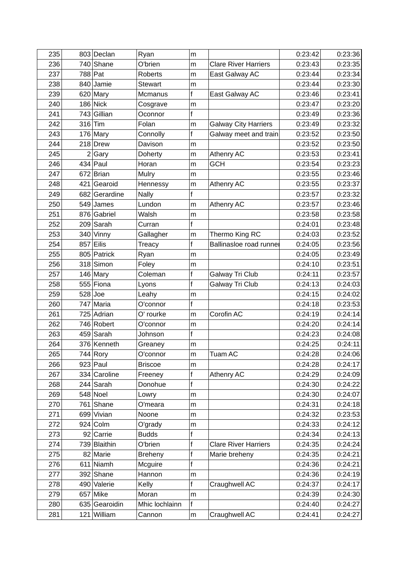| 235 | 803 Declan    | Ryan           | m            |                             | 0:23:42 | 0:23:36 |
|-----|---------------|----------------|--------------|-----------------------------|---------|---------|
| 236 | 740 Shane     | O'brien        | m            | <b>Clare River Harriers</b> | 0:23:43 | 0:23:35 |
| 237 | 788 Pat       | Roberts        | m            | East Galway AC              | 0:23:44 | 0:23:34 |
| 238 | 840 Jamie     | <b>Stewart</b> | m            |                             | 0:23:44 | 0:23:30 |
| 239 | $620$ Mary    | Mcmanus        | $\mathsf{f}$ | East Galway AC              | 0:23:46 | 0:23:41 |
| 240 | $186$ Nick    | Cosgrave       | m            |                             | 0:23:47 | 0:23:20 |
| 241 | 743 Gillian   | Oconnor        | $\mathsf f$  |                             | 0:23:49 | 0:23:36 |
| 242 | $316$ Tim     | Folan          | m            | <b>Galway City Harriers</b> | 0:23:49 | 0:23:32 |
| 243 | $176$ Mary    | Connolly       | $\mathsf{f}$ | Galway meet and train       | 0:23:52 | 0:23:50 |
| 244 | 218 Drew      | Davison        | m            |                             | 0:23:52 | 0:23:50 |
| 245 | 2 Gary        | Doherty        | m            | Athenry AC                  | 0:23:53 | 0:23:41 |
| 246 | $434$ Paul    | Horan          | m            | <b>GCH</b>                  | 0:23:54 | 0:23:23 |
| 247 | 672 Brian     | Mulry          | m            |                             | 0:23:55 | 0:23:46 |
| 248 | 421 Gearoid   | Hennessy       | m            | Athenry AC                  | 0:23:55 | 0:23:37 |
| 249 | 682 Gerardine | <b>Nally</b>   | f            |                             | 0:23:57 | 0:23:32 |
| 250 | $549$ James   | Lundon         | m            | Athenry AC                  | 0:23:57 | 0:23:46 |
| 251 | 876 Gabriel   | Walsh          | m            |                             | 0:23:58 | 0:23:58 |
| 252 | 209 Sarah     | Curran         | $\mathsf{f}$ |                             | 0:24:01 | 0:23:48 |
| 253 | $340$ Vinny   | Gallagher      | m            | Thermo King RC              | 0:24:03 | 0:23:52 |
| 254 | $857$ Eilis   | Treacy         | f            | Ballinasloe road runner     | 0:24:05 | 0:23:56 |
| 255 | 805 Patrick   | Ryan           | m            |                             | 0:24:05 | 0:23:49 |
| 256 | 318 Simon     | Foley          | m            |                             | 0:24:10 | 0:23:51 |
| 257 | $146$ Mary    | Coleman        | $\mathsf f$  | Galway Tri Club             | 0:24:11 | 0:23:57 |
| 258 | 555 Fiona     | Lyons          | f            | Galway Tri Club             | 0:24:13 | 0:24:03 |
| 259 | $528$ Joe     | Leahy          | m            |                             | 0:24:15 | 0:24:02 |
| 260 | 747 Maria     | O'connor       | $\mathsf f$  |                             | 0:24:18 | 0:23:53 |
| 261 | 725 Adrian    | O' rourke      | m            | Corofin AC                  | 0:24:19 | 0:24:14 |
| 262 | 746 Robert    | O'connor       | m            |                             | 0:24:20 | 0:24:14 |
| 263 | $459$ Sarah   | Johnson        | $\mathsf{f}$ |                             | 0:24:23 | 0:24:08 |
| 264 | 376 Kenneth   | Greaney        | m            |                             | 0:24:25 | 0:24:11 |
| 265 | 744 Rory      | O'connor       | m            | <b>Tuam AC</b>              | 0:24:28 | 0:24:06 |
| 266 | $923$ Paul    | <b>Briscoe</b> | m            |                             | 0:24:28 | 0:24:17 |
| 267 | 334 Caroline  | Freeney        | f            | Athenry AC                  | 0:24:29 | 0:24:09 |
| 268 | 244 Sarah     | Donohue        | $\mathsf f$  |                             | 0:24:30 | 0:24:22 |
| 269 | $548$ Noel    | Lowry          | m            |                             | 0:24:30 | 0:24:07 |
| 270 | $761$ Shane   | O'meara        | m            |                             | 0:24:31 | 0:24:18 |
| 271 | 699 Vivian    | Noone          | m            |                             | 0:24:32 | 0:23:53 |
| 272 | $924$ Colm    | O'grady        | m            |                             | 0:24:33 | 0:24:12 |
| 273 | 92 Carrie     | <b>Budds</b>   | $\mathsf f$  |                             | 0:24:34 | 0:24:13 |
| 274 | 739 Blaithin  | O'brien        | f            | <b>Clare River Harriers</b> | 0:24:35 | 0:24:24 |
| 275 | 82 Marie      | <b>Breheny</b> | f            | Marie breheny               | 0:24:35 | 0:24:21 |
| 276 | $611$ Niamh   | Mcguire        | f            |                             | 0:24:36 | 0:24:21 |
| 277 | 392 Shane     | Hannon         | m            |                             | 0:24:36 | 0:24:19 |
| 278 | 490 Valerie   | Kelly          | $\mathsf f$  | Craughwell AC               | 0:24:37 | 0:24:17 |
| 279 | $657$ Mike    | Moran          | m            |                             | 0:24:39 | 0:24:30 |
| 280 | 635 Gearoidin | Mhic lochlainn | $\mathsf{f}$ |                             | 0:24:40 | 0:24:27 |
| 281 | 121 William   | Cannon         | m            | Craughwell AC               | 0:24:41 | 0:24:27 |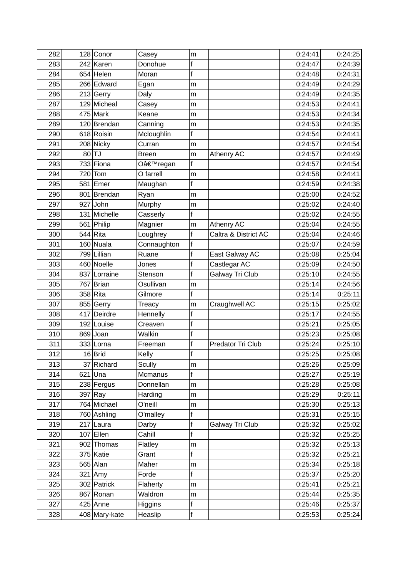| 282 |     | 128 Conor     | Casey         | m            |                        | 0:24:41 | 0:24:25 |
|-----|-----|---------------|---------------|--------------|------------------------|---------|---------|
| 283 |     | 242 Karen     | Donohue       | f            |                        | 0:24:47 | 0:24:39 |
| 284 |     | $654$ Helen   | Moran         | $\mathsf{f}$ |                        | 0:24:48 | 0:24:31 |
| 285 |     | 266 Edward    | Egan          | m            |                        | 0:24:49 | 0:24:29 |
| 286 |     | 213 Gerry     | Daly          | m            |                        | 0:24:49 | 0:24:35 |
| 287 |     | 129 Micheal   | Casey         | m            |                        | 0:24:53 | 0:24:41 |
| 288 |     | $475$ Mark    | Keane         | m            |                        | 0:24:53 | 0:24:34 |
| 289 |     | 120 Brendan   | Canning       | m            |                        | 0:24:53 | 0:24:35 |
| 290 |     | 618 Roisin    | Mcloughlin    | f            |                        | 0:24:54 | 0:24:41 |
| 291 |     | 208 Nicky     | Curran        | m            |                        | 0:24:57 | 0:24:54 |
| 292 |     | $80$ TJ       | <b>Breen</b>  | m            | Athenry AC             | 0:24:57 | 0:24:49 |
| 293 |     | $733$ Fiona   | O'regan       | $\mathsf{f}$ |                        | 0:24:57 | 0:24:54 |
| 294 | 720 | Tom           | O farrell     | m            |                        | 0:24:58 | 0:24:41 |
| 295 |     | 581 Emer      | Maughan       | $\mathsf{f}$ |                        | 0:24:59 | 0:24:38 |
| 296 |     | 801 Brendan   | Ryan          | m            |                        | 0:25:00 | 0:24:52 |
| 297 |     | $927$ John    | Murphy        | m            |                        | 0:25:02 | 0:24:40 |
| 298 |     | 131 Michelle  | Casserly      | f            |                        | 0:25:02 | 0:24:55 |
| 299 |     | 561 Philip    | Magnier       | m            | Athenry AC             | 0:25:04 | 0:24:55 |
| 300 |     | $544 R$ ita   | Loughrey      | $\mathbf f$  | Caltra & District AC   | 0:25:04 | 0:24:46 |
| 301 |     | 160 Nuala     | Connaughton   | f            |                        | 0:25:07 | 0:24:59 |
| 302 |     | 799 Lillian   | Ruane         | $\mathsf{f}$ | East Galway AC         | 0:25:08 | 0:25:04 |
| 303 |     | 460 Noelle    | Jones         | f            | Castlegar AC           | 0:25:09 | 0:24:50 |
| 304 |     | 837 Lorraine  | Stenson       | $\mathsf{f}$ | <b>Galway Tri Club</b> | 0:25:10 | 0:24:55 |
| 305 |     | 767 Brian     | Osullivan     | m            |                        | 0:25:14 | 0:24:56 |
| 306 |     | $358$ Rita    | Gilmore       | f            |                        | 0:25:14 | 0:25:11 |
| 307 |     | 855 Gerry     | <b>Treacy</b> | m            | Craughwell AC          | 0:25:15 | 0:25:02 |
| 308 | 417 | Deirdre       | Hennelly      | $\mathsf{f}$ |                        | 0:25:17 | 0:24:55 |
| 309 |     | 192 Louise    | Creaven       | f            |                        | 0:25:21 | 0:25:05 |
| 310 |     | $869$ Joan    | Walkin        | f            |                        | 0:25:23 | 0:25:08 |
| 311 |     | 333 Lorna     | Freeman       | f            | Predator Tri Club      | 0:25:24 | 0:25:10 |
| 312 |     | $16$ Brid     | Kelly         | f            |                        | 0:25:25 | 0:25:08 |
| 313 |     | 37 Richard    | Scully        | m            |                        | 0:25:26 | 0:25:09 |
| 314 |     | $621$ Una     | Mcmanus       | f            |                        | 0:25:27 | 0:25:19 |
| 315 |     | 238 Fergus    | Donnellan     | m            |                        | 0:25:28 | 0:25:08 |
| 316 |     | $397$ Ray     | Harding       | m            |                        | 0:25:29 | 0:25:11 |
| 317 |     | 764 Michael   | O'neill       | m            |                        | 0:25:30 | 0:25:13 |
| 318 |     | 760 Ashling   | O'malley      | f            |                        | 0:25:31 | 0:25:15 |
| 319 |     | 217 Laura     | Darby         | f            | Galway Tri Club        | 0:25:32 | 0:25:02 |
| 320 |     | $107$ Ellen   | Cahill        | f            |                        | 0:25:32 | 0:25:25 |
| 321 |     | 902 Thomas    | Flatley       | m            |                        | 0:25:32 | 0:25:13 |
| 322 |     | $375$ Katie   | Grant         | f            |                        | 0:25:32 | 0:25:21 |
| 323 |     | $565$ Alan    | Maher         | m            |                        | 0:25:34 | 0:25:18 |
| 324 |     | $321$ Amy     | Forde         | $\mathsf{f}$ |                        | 0:25:37 | 0:25:20 |
| 325 |     | 302 Patrick   | Flaherty      | m            |                        | 0:25:41 | 0:25:21 |
| 326 |     | 867 Ronan     | Waldron       | m            |                        | 0:25:44 | 0:25:35 |
| 327 |     | $425$ Anne    | Higgins       | f            |                        | 0:25:46 | 0:25:37 |
| 328 |     | 408 Mary-kate | Heaslip       | f            |                        | 0:25:53 | 0:25:24 |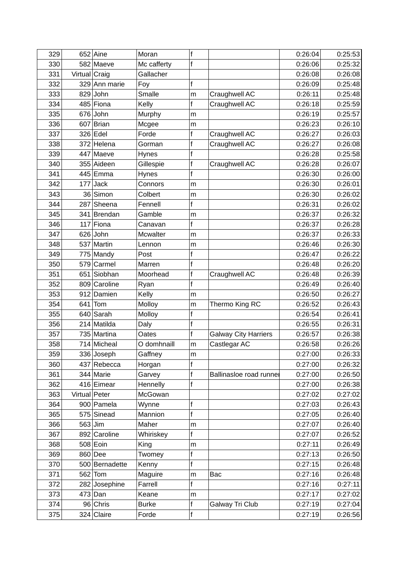| 329        |               | $652$ Aine                 | Moran                 | f                |                             | 0:26:04            | 0:25:53 |
|------------|---------------|----------------------------|-----------------------|------------------|-----------------------------|--------------------|---------|
| 330        |               | 582 Maeve                  | Mc cafferty           | f                |                             | 0:26:06            | 0:25:32 |
| 331        | Virtual Craig |                            | Gallacher             |                  |                             | 0:26:08            | 0:26:08 |
| 332        |               | 329 Ann marie              | Foy                   | f                |                             | 0:26:09            | 0:25:48 |
| 333        |               | $829$ John                 | Smalle                | m                | Craughwell AC               | 0:26:11            | 0:25:48 |
| 334        |               | 485 Fiona                  | Kelly                 | $\mathsf f$      | Craughwell AC               | 0:26:18            | 0:25:59 |
| 335        |               | $676$ John                 | Murphy                | m                |                             | 0:26:19            | 0:25:57 |
| 336        |               | 607 Brian                  | Mcgee                 | m                |                             | 0:26:23            | 0:26:10 |
| 337        |               | 326 Edel                   | Forde                 | f                | Craughwell AC               | 0:26:27            | 0:26:03 |
| 338        |               | 372 Helena                 | Gorman                | $\mathsf{f}$     | Craughwell AC               | 0:26:27            | 0:26:08 |
| 339        |               | 447 Maeve                  | Hynes                 | f                |                             | 0:26:28            | 0:25:58 |
| 340        |               | 355 Aideen                 | Gillespie             | f                | Craughwell AC               | 0:26:28            | 0:26:07 |
| 341        |               | 445 Emma                   | Hynes                 | f                |                             | 0:26:30            | 0:26:00 |
| 342        | 177           | <b>Jack</b>                | Connors               | m                |                             | 0:26:30            | 0:26:01 |
| 343        |               | 36 Simon                   | Colbert               | m                |                             | 0:26:30            | 0:26:02 |
| 344        |               | 287 Sheena                 | Fennell               | $\mathsf{f}$     |                             | 0:26:31            | 0:26:02 |
| 345        |               | 341 Brendan                | Gamble                | m                |                             | 0:26:37            | 0:26:32 |
| 346        | 117           | Fiona                      | Canavan               | f                |                             | 0:26:37            | 0:26:28 |
| 347        |               | $626$ John                 | <b>Mcwalter</b>       | m                |                             | 0:26:37            | 0:26:33 |
| 348        |               | 537 Martin                 | Lennon                | m                |                             | 0:26:46            | 0:26:30 |
| 349        |               | 775 Mandy                  | Post                  | f                |                             | 0:26:47            | 0:26:22 |
| 350        | 579           | Carmel                     | Marren                | $\mathsf f$      |                             | 0:26:48            | 0:26:20 |
| 351        |               | 651 Siobhan                | Moorhead              | $\mathsf f$      | Craughwell AC               | 0:26:48            | 0:26:39 |
| 352        |               | 809 Caroline               | Ryan                  | $\mathsf{f}$     |                             | 0:26:49            | 0:26:40 |
| 353        |               | 912 Damien                 | Kelly                 | m                |                             | 0:26:50            | 0:26:27 |
| 354        |               | $641$ Tom                  | Molloy                | m                | Thermo King RC              | 0:26:52            | 0:26:43 |
| 355        |               | 640 Sarah                  | Molloy                | f                |                             | 0:26:54            | 0:26:41 |
| 356        |               | 214 Matilda                | Daly                  | f                |                             | 0:26:55            | 0:26:31 |
| 357        |               | 735 Martina                | Oates                 | f                | <b>Galway City Harriers</b> | 0:26:57            | 0:26:38 |
| 358        |               | 714 Micheal                | O domhnaill           | m                | Castlegar AC                | 0:26:58            | 0:26:26 |
| 359        |               | 336 Joseph                 | Gaffney               | m                |                             | 0:27:00            | 0:26:33 |
| 360        |               | 437 Rebecca                | Horgan                | f                |                             | 0:27:00            | 0:26:32 |
| 361        |               | 344 Marie                  | Garvey                | f                | Ballinasloe road runnel     | 0:27:00            | 0:26:50 |
| 362        |               | 416 Eimear                 | Hennelly              | f                |                             | 0:27:00            | 0:26:38 |
| 363        | Virtual Peter |                            | McGowan               |                  |                             | 0:27:02            | 0:27:02 |
| 364        |               | 900 Pamela                 | Wynne                 | f                |                             | 0:27:03            | 0:26:43 |
| 365        |               | 575 Sinead                 | Mannion               | $\mathsf{f}$     |                             | 0:27:05            | 0:26:40 |
| 366        |               | $563$ Jim                  | Maher                 | m                |                             | 0:27:07            | 0:26:40 |
| 367        |               | 892 Caroline               | Whiriskey             | $\mathsf{f}$     |                             | 0:27:07            | 0:26:52 |
| 368        |               | 508 Eoin                   | King                  | m                |                             | 0:27:11            | 0:26:49 |
| 369        |               | $860$ Dee                  | Twomey                | f<br>$\mathsf f$ |                             | 0:27:13            | 0:26:50 |
| 370        |               | 500 Bernadette             | Kenny                 |                  |                             | 0:27:15            | 0:26:48 |
| 371        |               | $562$ Tom                  | Maguire               | m<br>f           | Bac                         | 0:27:16            | 0:26:48 |
| 372<br>373 |               | 282 Josephine<br>$473$ Dan | Farrell               |                  |                             | 0:27:16<br>0:27:17 | 0:27:11 |
| 374        |               | 96 Chris                   | Keane<br><b>Burke</b> | m<br>$\mathsf f$ |                             | 0:27:19            | 0:27:02 |
|            |               |                            |                       |                  | Galway Tri Club             |                    | 0:27:04 |
| 375        |               | 324 Claire                 | Forde                 | f                |                             | 0:27:19            | 0:26:56 |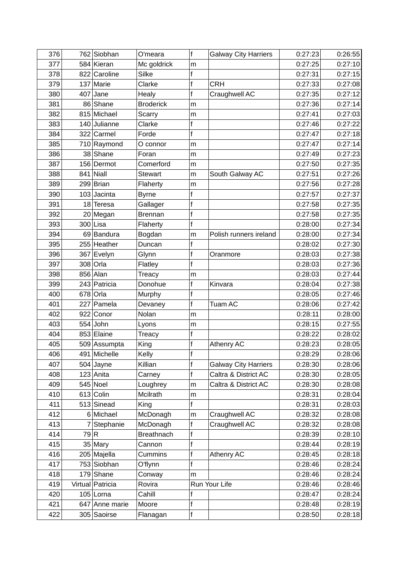| 376 |      | 762 Siobhan      | O'meara           | f            | <b>Galway City Harriers</b> | 0:27:23 | 0:26:55 |
|-----|------|------------------|-------------------|--------------|-----------------------------|---------|---------|
| 377 |      | 584 Kieran       | Mc goldrick       | m            |                             | 0:27:25 | 0:27:10 |
| 378 |      | 822 Caroline     | Silke             | f            |                             | 0:27:31 | 0:27:15 |
| 379 |      | 137 Marie        | Clarke            | f            | <b>CRH</b>                  | 0:27:33 | 0:27:08 |
| 380 |      | $407$ Jane       | Healy             | f            | Craughwell AC               | 0:27:35 | 0:27:12 |
| 381 |      | 86 Shane         | <b>Broderick</b>  | m            |                             | 0:27:36 | 0:27:14 |
| 382 |      | 815 Michael      | Scarry            | m            |                             | 0:27:41 | 0:27:03 |
| 383 |      | 140 Julianne     | Clarke            | f            |                             | 0:27:46 | 0:27:22 |
| 384 |      | 322 Carmel       | Forde             | $\mathsf{f}$ |                             | 0:27:47 | 0:27:18 |
| 385 |      | 710 Raymond      | O connor          | m            |                             | 0:27:47 | 0:27:14 |
| 386 |      | 38 Shane         | Foran             | m            |                             | 0:27:49 | 0:27:23 |
| 387 |      | 156 Dermot       | Comerford         | m            |                             | 0:27:50 | 0:27:35 |
| 388 |      | $841$ Niall      | <b>Stewart</b>    | m            | South Galway AC             | 0:27:51 | 0:27:26 |
| 389 |      | 299 Brian        | Flaherty          | m            |                             | 0:27:56 | 0:27:28 |
| 390 |      | 103 Jacinta      | <b>Byrne</b>      | f            |                             | 0:27:57 | 0:27:37 |
| 391 |      | $18$ Teresa      | Gallager          | f            |                             | 0:27:58 | 0:27:35 |
| 392 |      | 20 Megan         | <b>Brennan</b>    | f            |                             | 0:27:58 | 0:27:35 |
| 393 |      | $300$ Lisa       | Flaherty          | f            |                             | 0:28:00 | 0:27:34 |
| 394 |      | 69 Bandura       | Bogdan            | m            | Polish runners ireland      | 0:28:00 | 0:27:34 |
| 395 |      | 255 Heather      | Duncan            | f            |                             | 0:28:02 | 0:27:30 |
| 396 |      | 367 Evelyn       | Glynn             | f            | Oranmore                    | 0:28:03 | 0:27:38 |
| 397 |      | $308$ Orla       | Flatley           | f            |                             | 0:28:03 | 0:27:36 |
| 398 |      | $856$ Alan       | Treacy            | m            |                             | 0:28:03 | 0:27:44 |
| 399 |      | 243 Patricia     | Donohue           | f            | Kinvara                     | 0:28:04 | 0:27:38 |
| 400 |      | $678$ Orla       | Murphy            | f            |                             | 0:28:05 | 0:27:46 |
| 401 |      | 227 Pamela       | Devaney           | f            | <b>Tuam AC</b>              | 0:28:06 | 0:27:42 |
| 402 | 922  | Conor            | Nolan             | m            |                             | 0:28:11 | 0:28:00 |
| 403 |      | $554$ John       | Lyons             | m            |                             | 0:28:15 | 0:27:55 |
| 404 |      | 853 Elaine       | Treacy            | f            |                             | 0:28:22 | 0:28:02 |
| 405 |      | 509 Assumpta     | King              | $\mathsf f$  | Athenry AC                  | 0:28:23 | 0:28:05 |
| 406 |      | 491 Michelle     | Kelly             | $\mathsf{f}$ |                             | 0:28:29 | 0:28:06 |
| 407 |      | $504$ Jayne      | Killian           | f            | <b>Galway City Harriers</b> | 0:28:30 | 0:28:06 |
| 408 |      | $123$ Anita      | Carney            | f            | Caltra & District AC        | 0:28:30 | 0:28:05 |
| 409 |      | $545$ Noel       | Loughrey          | m            | Caltra & District AC        | 0:28:30 | 0:28:08 |
| 410 |      | $613$ Colin      | Mcilrath          | m            |                             | 0:28:31 | 0:28:04 |
| 411 |      | 513 Sinead       | King              | $\mathsf{f}$ |                             | 0:28:31 | 0:28:03 |
| 412 |      | 6 Michael        | McDonagh          | m            | Craughwell AC               | 0:28:32 | 0:28:08 |
| 413 |      | Stephanie        | McDonagh          | f            | Craughwell AC               | 0:28:32 | 0:28:08 |
| 414 | 79 R |                  | <b>Breathnach</b> | f            |                             | 0:28:39 | 0:28:10 |
| 415 |      | $35$ Mary        | Cannon            | f            |                             | 0:28:44 | 0:28:19 |
| 416 |      | 205 Majella      | Cummins           | f            | Athenry AC                  | 0:28:45 | 0:28:18 |
| 417 |      | 753 Siobhan      | O'flynn           | $\mathsf f$  |                             | 0:28:46 | 0:28:24 |
| 418 |      | $179$ Shane      | Conway            | m            |                             | 0:28:46 | 0:28:24 |
| 419 |      | Virtual Patricia | Rovira            |              | Run Your Life               | 0:28:46 | 0:28:46 |
| 420 |      | $105$ Lorna      | Cahill            | f            |                             | 0:28:47 | 0:28:24 |
| 421 |      | 647 Anne marie   | Moore             | $\mathsf f$  |                             | 0:28:48 | 0:28:19 |
| 422 |      | 305 Saoirse      | Flanagan          | f            |                             | 0:28:50 | 0:28:18 |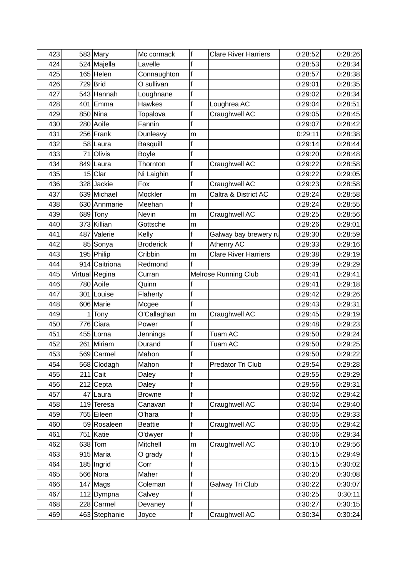| 423 |     | $583$ Mary     | Mc cormack       | f            | <b>Clare River Harriers</b> | 0:28:52 | 0:28:26 |
|-----|-----|----------------|------------------|--------------|-----------------------------|---------|---------|
| 424 |     | 524 Majella    | Lavelle          | f            |                             | 0:28:53 | 0:28:34 |
| 425 |     | $165$ Helen    | Connaughton      | $\mathsf{f}$ |                             | 0:28:57 | 0:28:38 |
| 426 |     | $729$ Brid     | O sullivan       | f            |                             | 0:29:01 | 0:28:35 |
| 427 |     | 543 Hannah     | Loughnane        | f            |                             | 0:29:02 | 0:28:34 |
| 428 |     | $401$ Emma     | <b>Hawkes</b>    | f            | Loughrea AC                 | 0:29:04 | 0:28:51 |
| 429 |     | 850 Nina       | Topalova         | f            | Craughwell AC               | 0:29:05 | 0:28:45 |
| 430 |     | 280 Aoife      | Fannin           | $\mathsf{f}$ |                             | 0:29:07 | 0:28:42 |
| 431 |     | $256$ Frank    | Dunleavy         | m            |                             | 0:29:11 | 0:28:38 |
| 432 |     | 58 Laura       | <b>Basquill</b>  | f            |                             | 0:29:14 | 0:28:44 |
| 433 | 71  | Olivis         | <b>Boyle</b>     | f            |                             | 0:29:20 | 0:28:48 |
| 434 |     | 849 Laura      | Thornton         | $\mathsf{f}$ | Craughwell AC               | 0:29:22 | 0:28:58 |
| 435 | 15  | Clar           | Ni Laighin       | f            |                             | 0:29:22 | 0:29:05 |
| 436 |     | 328 Jackie     | Fox              | $\mathsf{f}$ | Craughwell AC               | 0:29:23 | 0:28:58 |
| 437 |     | 639 Michael    | Mockler          | m            | Caltra & District AC        | 0:29:24 | 0:28:58 |
| 438 |     | 630 Annmarie   | Meehan           | f            |                             | 0:29:24 | 0:28:55 |
| 439 | 689 | Tony           | Nevin            | m            | Craughwell AC               | 0:29:25 | 0:28:56 |
| 440 |     | 373 Killian    | Gottsche         | m            |                             | 0:29:26 | 0:29:01 |
| 441 |     | 487 Valerie    | Kelly            | f            | Galway bay brewery ru       | 0:29:30 | 0:28:59 |
| 442 |     | 85 Sonya       | <b>Broderick</b> | f            | Athenry AC                  | 0:29:33 | 0:29:16 |
| 443 |     | 195 Philip     | Cribbin          | m            | <b>Clare River Harriers</b> | 0:29:38 | 0:29:19 |
| 444 |     | 914 Caitriona  | Redmond          | f            |                             | 0:29:39 | 0:29:29 |
| 445 |     | Virtual Regina | Curran           |              | Melrose Running Club        | 0:29:41 | 0:29:41 |
| 446 |     | 780 Aoife      | Quinn            | f            |                             | 0:29:41 | 0:29:18 |
| 447 | 301 | Louise         | Flaherty         | f            |                             | 0:29:42 | 0:29:26 |
| 448 |     | 606 Marie      | Mcgee            | $\mathbf f$  |                             | 0:29:43 | 0:29:31 |
| 449 | 1   | Tony           | O'Callaghan      | m            | Craughwell AC               | 0:29:45 | 0:29:19 |
| 450 | 776 | Ciara          | Power            | f            |                             | 0:29:48 | 0:29:23 |
| 451 |     | 455 Lorna      | Jennings         | f            | Tuam AC                     | 0:29:50 | 0:29:24 |
| 452 |     | 261 Miriam     | Durand           | f            | Tuam AC                     | 0:29:50 | 0:29:25 |
| 453 |     | 569 Carmel     | Mahon            | f            |                             | 0:29:50 | 0:29:22 |
| 454 |     | 568 Clodagh    | Mahon            | f            | Predator Tri Club           | 0:29:54 | 0:29:28 |
| 455 |     | $211$ Cait     | Daley            | f            |                             | 0:29:55 | 0:29:29 |
| 456 | 212 | Cepta          | Daley            | f            |                             | 0:29:56 | 0:29:31 |
| 457 |     | 47 Laura       | <b>Browne</b>    | f            |                             | 0:30:02 | 0:29:42 |
| 458 |     | $119$ Teresa   | Canavan          | f            | Craughwell AC               | 0:30:04 | 0:29:40 |
| 459 |     | 755 Eileen     | O'hara           | f            |                             | 0:30:05 | 0:29:33 |
| 460 |     | 59 Rosaleen    | <b>Beattie</b>   | f            | Craughwell AC               | 0:30:05 | 0:29:42 |
| 461 |     | $751$ Katie    | O'dwyer          | f            |                             | 0:30:06 | 0:29:34 |
| 462 |     | $638$ Tom      | Mitchell         | m            | Craughwell AC               | 0:30:10 | 0:29:56 |
| 463 |     | $915$ Maria    | O grady          | f            |                             | 0:30:15 | 0:29:49 |
| 464 |     | $185$   Ingrid | Corr             | f            |                             | 0:30:15 | 0:30:02 |
| 465 |     | 566 Nora       | Maher            | f            |                             | 0:30:20 | 0:30:08 |
| 466 |     | $147$ Mags     | Coleman          | f            | Galway Tri Club             | 0:30:22 | 0:30:07 |
| 467 |     | 112 Dympna     | Calvey           | f            |                             | 0:30:25 | 0:30:11 |
| 468 |     | 228 Carmel     | Devaney          | f            |                             | 0:30:27 | 0:30:15 |
| 469 |     | 463 Stephanie  | Joyce            | f            | Craughwell AC               | 0:30:34 | 0:30:24 |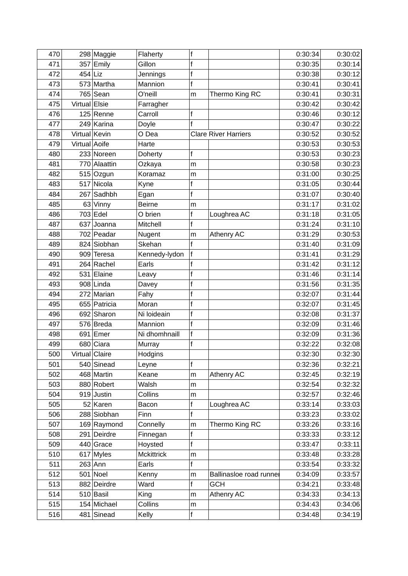| 470 |                | 298 Maggie   | Flaherty      | f            |                             | 0:30:34 | 0:30:02 |
|-----|----------------|--------------|---------------|--------------|-----------------------------|---------|---------|
| 471 |                | $357$ Emily  | Gillon        | f            |                             | 0:30:35 | 0:30:14 |
| 472 | $454$ Liz      |              | Jennings      | $\mathsf f$  |                             | 0:30:38 | 0:30:12 |
| 473 |                | 573 Martha   | Mannion       | f            |                             | 0:30:41 | 0:30:41 |
| 474 |                | $765$ Sean   | O'neill       | m            | Thermo King RC              | 0:30:41 | 0:30:31 |
| 475 | Virtual Elsie  |              | Farragher     |              |                             | 0:30:42 | 0:30:42 |
| 476 |                | $125$ Renne  | Carroll       | f            |                             | 0:30:46 | 0:30:12 |
| 477 |                | 249 Karina   | Doyle         | f            |                             | 0:30:47 | 0:30:22 |
| 478 | Virtual Kevin  |              | O Dea         |              | <b>Clare River Harriers</b> | 0:30:52 | 0:30:52 |
| 479 | Virtual Aoife  |              | Harte         |              |                             | 0:30:53 | 0:30:53 |
| 480 |                | 233 Noreen   | Doherty       | f            |                             | 0:30:53 | 0:30:23 |
| 481 |                | 770 Alaattin | Ozkaya        | m            |                             | 0:30:58 | 0:30:23 |
| 482 |                | 515 Ozgun    | Koramaz       | m            |                             | 0:31:00 | 0:30:25 |
| 483 |                | 517 Nicola   | Kyne          | $\mathsf f$  |                             | 0:31:05 | 0:30:44 |
| 484 |                | 267 Sadhbh   | Egan          | f            |                             | 0:31:07 | 0:30:40 |
| 485 |                | $63$ Vinny   | <b>Beirne</b> | m            |                             | 0:31:17 | 0:31:02 |
| 486 |                | 703 Edel     | O brien       | f            | Loughrea AC                 | 0:31:18 | 0:31:05 |
| 487 |                | 637 Joanna   | Mitchell      | $\mathsf{f}$ |                             | 0:31:24 | 0:31:10 |
| 488 |                | 702 Peadar   | Nugent        | m            | Athenry AC                  | 0:31:29 | 0:30:53 |
| 489 |                | 824 Siobhan  | Skehan        | f            |                             | 0:31:40 | 0:31:09 |
| 490 |                | 909 Teresa   | Kennedy-lydon | $\mathsf{f}$ |                             | 0:31:41 | 0:31:29 |
| 491 |                | 264 Rachel   | Earls         | f            |                             | 0:31:42 | 0:31:12 |
| 492 |                | 531 Elaine   | Leavy         | $\mathsf f$  |                             | 0:31:46 | 0:31:14 |
| 493 |                | 908 Linda    | Davey         | f            |                             | 0:31:56 | 0:31:35 |
| 494 |                | 272 Marian   | Fahy          | $\mathsf f$  |                             | 0:32:07 | 0:31:44 |
| 495 |                | 655 Patricia | Moran         | f            |                             | 0:32:07 | 0:31:45 |
| 496 |                | 692 Sharon   | Ni loideain   | f            |                             | 0:32:08 | 0:31:37 |
| 497 |                | 576 Breda    | Mannion       | f            |                             | 0:32:09 | 0:31:46 |
| 498 |                | 691 $ $ Emer | Ni dhomhnaill | f            |                             | 0:32:09 | 0:31:36 |
| 499 |                | 680 Ciara    | Murray        | f            |                             | 0:32:22 | 0:32:08 |
| 500 | Virtual Claire |              | Hodgins       |              |                             | 0:32:30 | 0:32:30 |
| 501 |                | 540 Sinead   | Leyne         | f            |                             | 0:32:36 | 0:32:21 |
| 502 |                | 468 Martin   | Keane         | m            | Athenry AC                  | 0:32:45 | 0:32:19 |
| 503 |                | 880 Robert   | Walsh         | m            |                             | 0:32:54 | 0:32:32 |
| 504 |                | 919 Justin   | Collins       | m            |                             | 0:32:57 | 0:32:46 |
| 505 |                | 52 Karen     | Bacon         | $\mathsf f$  | Loughrea AC                 | 0:33:14 | 0:33:03 |
| 506 |                | 288 Siobhan  | Finn          | $\mathsf f$  |                             | 0:33:23 | 0:33:02 |
| 507 |                | 169 Raymond  | Connelly      | m            | Thermo King RC              | 0:33:26 | 0:33:16 |
| 508 |                | 291 Deirdre  | Finnegan      | $\mathsf f$  |                             | 0:33:33 | 0:33:12 |
| 509 |                | $440$ Grace  | Hoysted       | f            |                             | 0:33:47 | 0:33:11 |
| 510 |                | $617$ Myles  | Mckittrick    | m            |                             | 0:33:48 | 0:33:28 |
| 511 |                | $263$ Ann    | Earls         | f            |                             | 0:33:54 | 0:33:32 |
| 512 |                | $501$ Noel   | Kenny         | m            | Ballinasloe road runnel     | 0:34:09 | 0:33:57 |
| 513 |                | 882 Deirdre  | Ward          | f            | <b>GCH</b>                  | 0:34:21 | 0:33:48 |
| 514 |                | $510$ Basil  | King          | m            | Athenry AC                  | 0:34:33 | 0:34:13 |
| 515 |                | 154 Michael  | Collins       | m            |                             | 0:34:43 | 0:34:06 |
| 516 |                | $481$ Sinead | Kelly         | f            |                             | 0:34:48 | 0:34:19 |